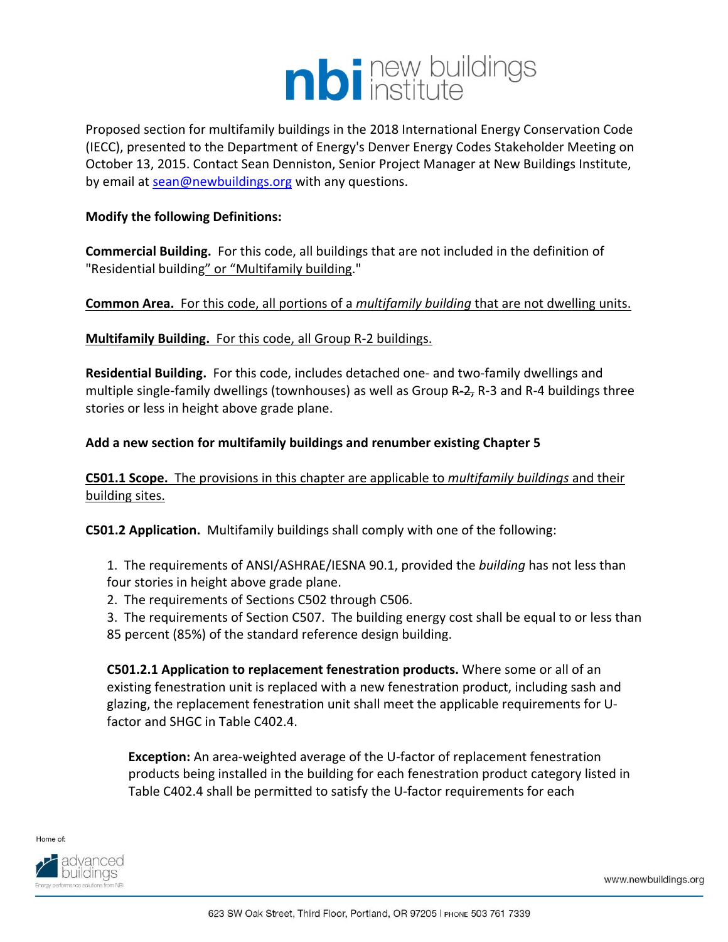

Proposed section for multifamily buildings in the 2018 International Energy Conservation Code (IECC), presented to the Department of Energy's Denver Energy Codes Stakeholder Meeting on October 13, 2015. Contact Sean Denniston, Senior Project Manager at New Buildings Institute, by email at sean@newbuildings.org with any questions.

#### **Modify the following Definitions:**

**Commercial Building.** For this code, all buildings that are not included in the definition of "Residential building" or "Multifamily building."

#### **Common Area.** For this code, all portions of a *multifamily building* that are not dwelling units.

**Multifamily Building.** For this code, all Group R‐2 buildings.

**Residential Building.** For this code, includes detached one‐ and two‐family dwellings and multiple single-family dwellings (townhouses) as well as Group R–2, R-3 and R-4 buildings three stories or less in height above grade plane.

#### **Add a new section for multifamily buildings and renumber existing Chapter 5**

**C501.1 Scope.** The provisions in this chapter are applicable to *multifamily buildings* and their building sites.

**C501.2 Application.** Multifamily buildings shall comply with one of the following:

- 1. The requirements of ANSI/ASHRAE/IESNA 90.1, provided the *building* has not less than four stories in height above grade plane.
- 2. The requirements of Sections C502 through C506.

3. The requirements of Section C507. The building energy cost shall be equal to or less than 85 percent (85%) of the standard reference design building.

**C501.2.1 Application to replacement fenestration products.** Where some or all of an existing fenestration unit is replaced with a new fenestration product, including sash and glazing, the replacement fenestration unit shall meet the applicable requirements for U‐ factor and SHGC in Table C402.4.

**Exception:** An area-weighted average of the U-factor of replacement fenestration products being installed in the building for each fenestration product category listed in Table C402.4 shall be permitted to satisfy the U-factor requirements for each



www.newbuildings.org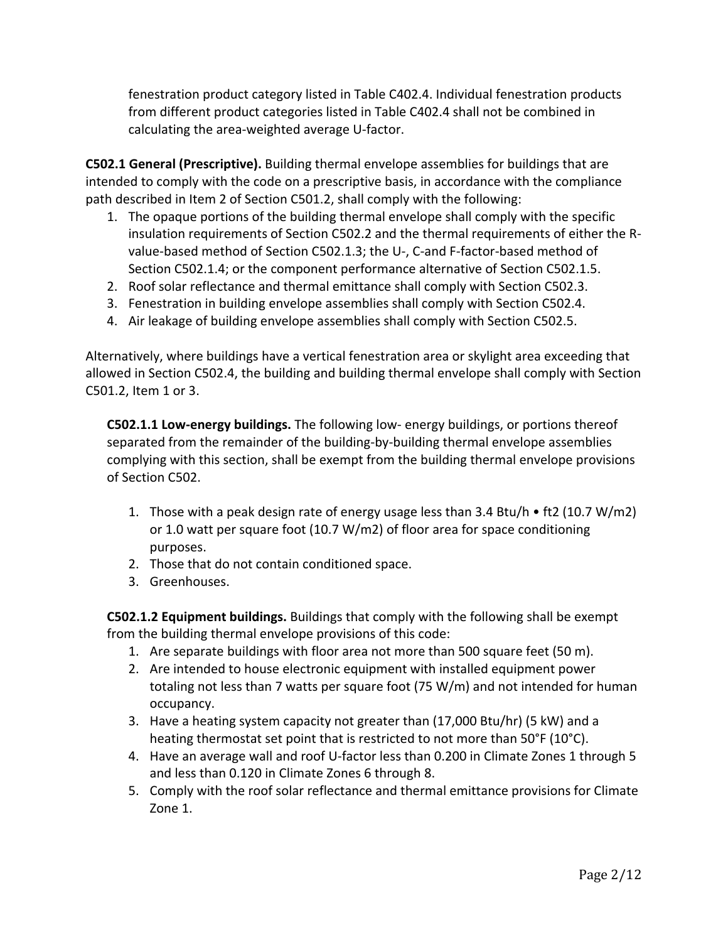fenestration product category listed in Table C402.4. Individual fenestration products from different product categories listed in Table C402.4 shall not be combined in calculating the area‐weighted average U‐factor.

**C502.1 General (Prescriptive).** Building thermal envelope assemblies for buildings that are intended to comply with the code on a prescriptive basis, in accordance with the compliance path described in Item 2 of Section C501.2, shall comply with the following:

- 1. The opaque portions of the building thermal envelope shall comply with the specific insulation requirements of Section C502.2 and the thermal requirements of either the R‐ value‐based method of Section C502.1.3; the U‐, C‐and F‐factor‐based method of Section C502.1.4; or the component performance alternative of Section C502.1.5.
- 2. Roof solar reflectance and thermal emittance shall comply with Section C502.3.
- 3. Fenestration in building envelope assemblies shall comply with Section C502.4.
- 4. Air leakage of building envelope assemblies shall comply with Section C502.5.

Alternatively, where buildings have a vertical fenestration area or skylight area exceeding that allowed in Section C502.4, the building and building thermal envelope shall comply with Section C501.2, Item 1 or 3.

**C502.1.1 Low‐energy buildings.** The following low‐ energy buildings, or portions thereof separated from the remainder of the building‐by‐building thermal envelope assemblies complying with this section, shall be exempt from the building thermal envelope provisions of Section C502.

- 1. Those with a peak design rate of energy usage less than 3.4 Btu/h  $\bullet$  ft2 (10.7 W/m2) or 1.0 watt per square foot (10.7 W/m2) of floor area for space conditioning purposes.
- 2. Those that do not contain conditioned space.
- 3. Greenhouses.

**C502.1.2 Equipment buildings.** Buildings that comply with the following shall be exempt from the building thermal envelope provisions of this code:

- 1. Are separate buildings with floor area not more than 500 square feet (50 m).
- 2. Are intended to house electronic equipment with installed equipment power totaling not less than 7 watts per square foot (75 W/m) and not intended for human occupancy.
- 3. Have a heating system capacity not greater than (17,000 Btu/hr) (5 kW) and a heating thermostat set point that is restricted to not more than 50°F (10°C).
- 4. Have an average wall and roof U‐factor less than 0.200 in Climate Zones 1 through 5 and less than 0.120 in Climate Zones 6 through 8.
- 5. Comply with the roof solar reflectance and thermal emittance provisions for Climate Zone 1.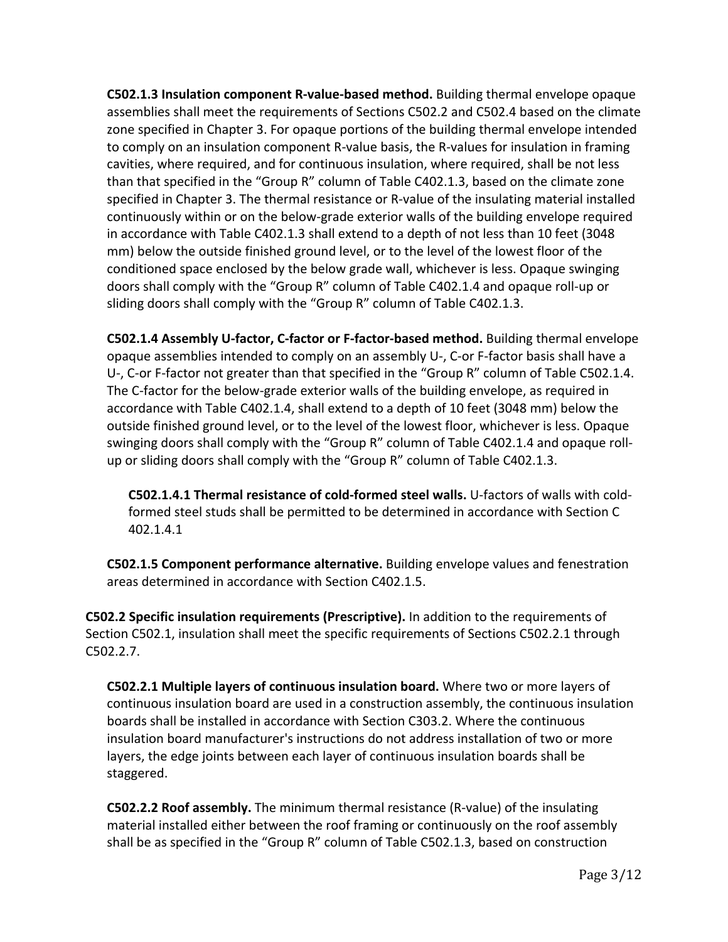**C502.1.3 Insulation component R‐value‐based method.** Building thermal envelope opaque assemblies shall meet the requirements of Sections C502.2 and C502.4 based on the climate zone specified in Chapter 3. For opaque portions of the building thermal envelope intended to comply on an insulation component R‐value basis, the R‐values for insulation in framing cavities, where required, and for continuous insulation, where required, shall be not less than that specified in the "Group R" column of Table C402.1.3, based on the climate zone specified in Chapter 3. The thermal resistance or R-value of the insulating material installed continuously within or on the below‐grade exterior walls of the building envelope required in accordance with Table C402.1.3 shall extend to a depth of not less than 10 feet (3048 mm) below the outside finished ground level, or to the level of the lowest floor of the conditioned space enclosed by the below grade wall, whichever is less. Opaque swinging doors shall comply with the "Group R" column of Table C402.1.4 and opaque roll‐up or sliding doors shall comply with the "Group R" column of Table C402.1.3.

**C502.1.4 Assembly U‐factor, C‐factor or F‐factor‐based method.** Building thermal envelope opaque assemblies intended to comply on an assembly U‐, C‐or F‐factor basis shall have a U-, C-or F-factor not greater than that specified in the "Group R" column of Table C502.1.4. The C‐factor for the below‐grade exterior walls of the building envelope, as required in accordance with Table C402.1.4, shall extend to a depth of 10 feet (3048 mm) below the outside finished ground level, or to the level of the lowest floor, whichever is less. Opaque swinging doors shall comply with the "Group R" column of Table C402.1.4 and opaque roll‐ up or sliding doors shall comply with the "Group R" column of Table C402.1.3.

**C502.1.4.1 Thermal resistance of cold‐formed steel walls.** U‐factors of walls with cold‐ formed steel studs shall be permitted to be determined in accordance with Section C 402.1.4.1

**C502.1.5 Component performance alternative.** Building envelope values and fenestration areas determined in accordance with Section C402.1.5.

**C502.2 Specific insulation requirements (Prescriptive).** In addition to the requirements of Section C502.1, insulation shall meet the specific requirements of Sections C502.2.1 through C502.2.7.

**C502.2.1 Multiple layers of continuous insulation board.** Where two or more layers of continuous insulation board are used in a construction assembly, the continuous insulation boards shall be installed in accordance with Section C303.2. Where the continuous insulation board manufacturer's instructions do not address installation of two or more layers, the edge joints between each layer of continuous insulation boards shall be staggered.

**C502.2.2 Roof assembly.** The minimum thermal resistance (R‐value) of the insulating material installed either between the roof framing or continuously on the roof assembly shall be as specified in the "Group R" column of Table C502.1.3, based on construction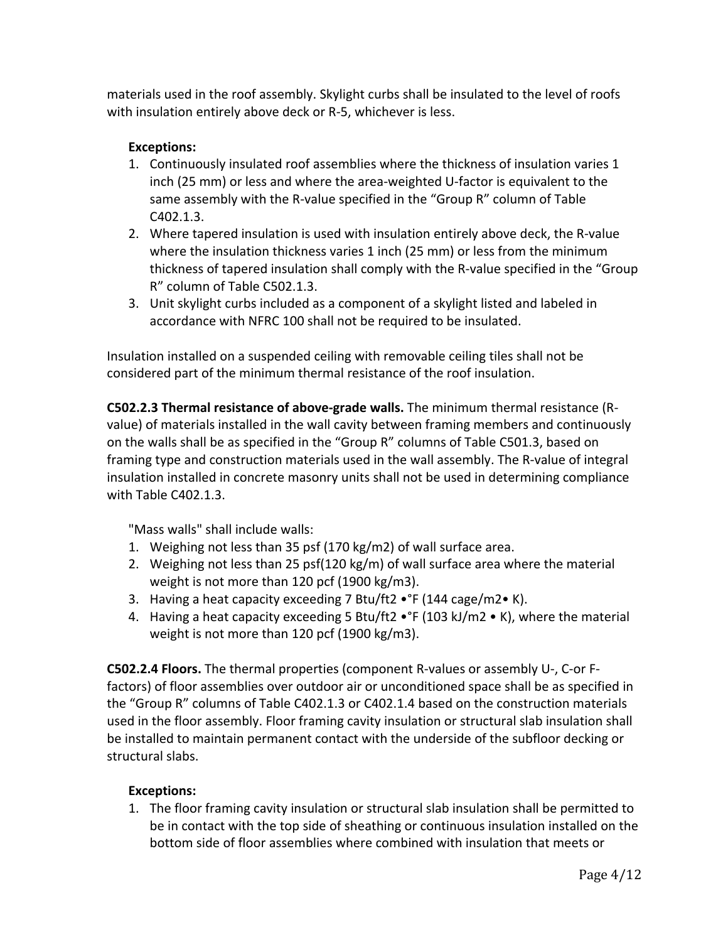materials used in the roof assembly. Skylight curbs shall be insulated to the level of roofs with insulation entirely above deck or R‐5, whichever is less.

## **Exceptions:**

- 1. Continuously insulated roof assemblies where the thickness of insulation varies 1 inch (25 mm) or less and where the area‐weighted U‐factor is equivalent to the same assembly with the R-value specified in the "Group R" column of Table C402.1.3.
- 2. Where tapered insulation is used with insulation entirely above deck, the R-value where the insulation thickness varies 1 inch (25 mm) or less from the minimum thickness of tapered insulation shall comply with the R‐value specified in the "Group R" column of Table C502.1.3.
- 3. Unit skylight curbs included as a component of a skylight listed and labeled in accordance with NFRC 100 shall not be required to be insulated.

Insulation installed on a suspended ceiling with removable ceiling tiles shall not be considered part of the minimum thermal resistance of the roof insulation.

**C502.2.3 Thermal resistance of above‐grade walls.** The minimum thermal resistance (R‐ value) of materials installed in the wall cavity between framing members and continuously on the walls shall be as specified in the "Group R" columns of Table C501.3, based on framing type and construction materials used in the wall assembly. The R‐value of integral insulation installed in concrete masonry units shall not be used in determining compliance with Table C402.1.3.

"Mass walls" shall include walls:

- 1. Weighing not less than 35 psf (170 kg/m2) of wall surface area.
- 2. Weighing not less than 25 psf(120 kg/m) of wall surface area where the material weight is not more than 120 pcf (1900 kg/m3).
- 3. Having a heat capacity exceeding 7 Btu/ft2 •°F (144 cage/m2• K).
- 4. Having a heat capacity exceeding 5 Btu/ft2 •°F (103 kJ/m2 K), where the material weight is not more than 120 pcf (1900 kg/m3).

**C502.2.4 Floors.** The thermal properties (component R‐values or assembly U‐, C‐or F‐ factors) of floor assemblies over outdoor air or unconditioned space shall be as specified in the "Group R" columns of Table C402.1.3 or C402.1.4 based on the construction materials used in the floor assembly. Floor framing cavity insulation or structural slab insulation shall be installed to maintain permanent contact with the underside of the subfloor decking or structural slabs.

#### **Exceptions:**

1. The floor framing cavity insulation or structural slab insulation shall be permitted to be in contact with the top side of sheathing or continuous insulation installed on the bottom side of floor assemblies where combined with insulation that meets or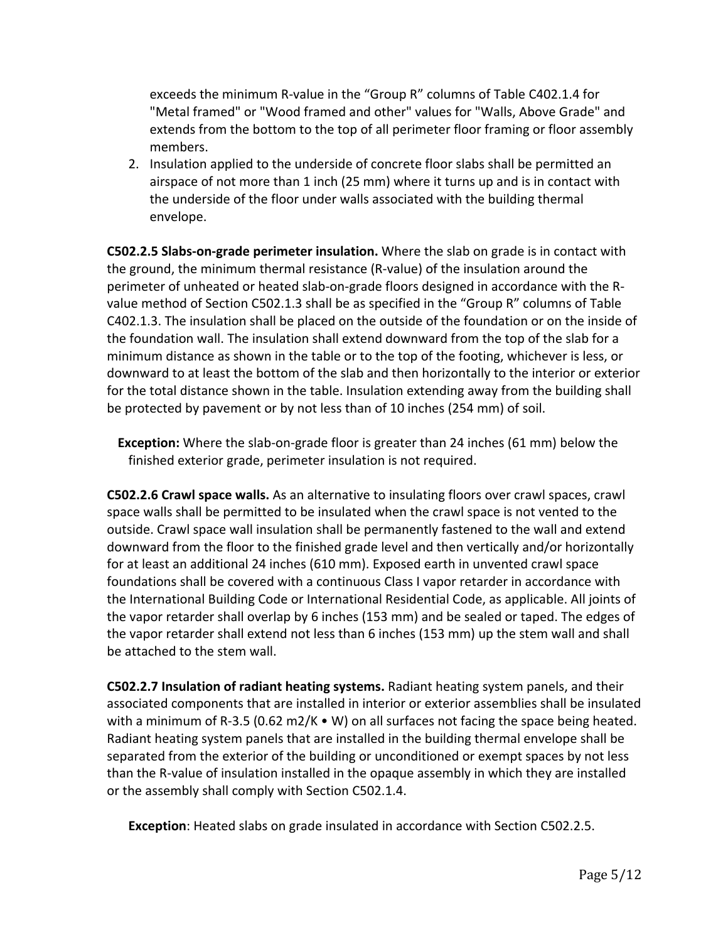exceeds the minimum R‐value in the "Group R" columns of Table C402.1.4 for "Metal framed" or "Wood framed and other" values for "Walls, Above Grade" and extends from the bottom to the top of all perimeter floor framing or floor assembly members.

2. Insulation applied to the underside of concrete floor slabs shall be permitted an airspace of not more than 1 inch (25 mm) where it turns up and is in contact with the underside of the floor under walls associated with the building thermal envelope.

**C502.2.5 Slabs‐on‐grade perimeter insulation.** Where the slab on grade is in contact with the ground, the minimum thermal resistance (R‐value) of the insulation around the perimeter of unheated or heated slab‐on‐grade floors designed in accordance with the R‐ value method of Section C502.1.3 shall be as specified in the "Group R" columns of Table C402.1.3. The insulation shall be placed on the outside of the foundation or on the inside of the foundation wall. The insulation shall extend downward from the top of the slab for a minimum distance as shown in the table or to the top of the footing, whichever is less, or downward to at least the bottom of the slab and then horizontally to the interior or exterior for the total distance shown in the table. Insulation extending away from the building shall be protected by pavement or by not less than of 10 inches (254 mm) of soil.

**Exception:** Where the slab-on-grade floor is greater than 24 inches (61 mm) below the finished exterior grade, perimeter insulation is not required.

**C502.2.6 Crawl space walls.** As an alternative to insulating floors over crawl spaces, crawl space walls shall be permitted to be insulated when the crawl space is not vented to the outside. Crawl space wall insulation shall be permanently fastened to the wall and extend downward from the floor to the finished grade level and then vertically and/or horizontally for at least an additional 24 inches (610 mm). Exposed earth in unvented crawl space foundations shall be covered with a continuous Class I vapor retarder in accordance with the International Building Code or International Residential Code, as applicable. All joints of the vapor retarder shall overlap by 6 inches (153 mm) and be sealed or taped. The edges of the vapor retarder shall extend not less than 6 inches (153 mm) up the stem wall and shall be attached to the stem wall.

**C502.2.7 Insulation of radiant heating systems.** Radiant heating system panels, and their associated components that are installed in interior or exterior assemblies shall be insulated with a minimum of R-3.5 (0.62 m2/K  $\bullet$  W) on all surfaces not facing the space being heated. Radiant heating system panels that are installed in the building thermal envelope shall be separated from the exterior of the building or unconditioned or exempt spaces by not less than the R‐value of insulation installed in the opaque assembly in which they are installed or the assembly shall comply with Section C502.1.4.

**Exception**: Heated slabs on grade insulated in accordance with Section C502.2.5.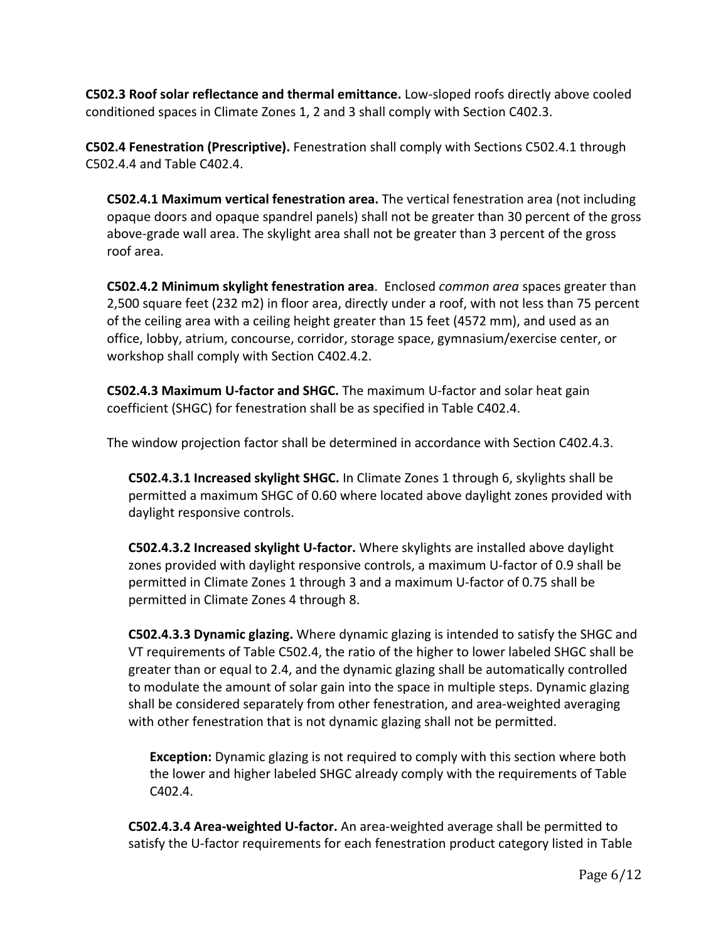**C502.3 Roof solar reflectance and thermal emittance.** Low‐sloped roofs directly above cooled conditioned spaces in Climate Zones 1, 2 and 3 shall comply with Section C402.3.

**C502.4 Fenestration (Prescriptive).** Fenestration shall comply with Sections C502.4.1 through C502.4.4 and Table C402.4.

**C502.4.1 Maximum vertical fenestration area.** The vertical fenestration area (not including opaque doors and opaque spandrel panels) shall not be greater than 30 percent of the gross above‐grade wall area. The skylight area shall not be greater than 3 percent of the gross roof area.

**C502.4.2 Minimum skylight fenestration area**. Enclosed *common area* spaces greater than 2,500 square feet (232 m2) in floor area, directly under a roof, with not less than 75 percent of the ceiling area with a ceiling height greater than 15 feet (4572 mm), and used as an office, lobby, atrium, concourse, corridor, storage space, gymnasium/exercise center, or workshop shall comply with Section C402.4.2.

**C502.4.3 Maximum U‐factor and SHGC.** The maximum U‐factor and solar heat gain coefficient (SHGC) for fenestration shall be as specified in Table C402.4.

The window projection factor shall be determined in accordance with Section C402.4.3.

**C502.4.3.1 Increased skylight SHGC.** In Climate Zones 1 through 6, skylights shall be permitted a maximum SHGC of 0.60 where located above daylight zones provided with daylight responsive controls.

**C502.4.3.2 Increased skylight U‐factor.** Where skylights are installed above daylight zones provided with daylight responsive controls, a maximum U‐factor of 0.9 shall be permitted in Climate Zones 1 through 3 and a maximum U‐factor of 0.75 shall be permitted in Climate Zones 4 through 8.

**C502.4.3.3 Dynamic glazing.** Where dynamic glazing is intended to satisfy the SHGC and VT requirements of Table C502.4, the ratio of the higher to lower labeled SHGC shall be greater than or equal to 2.4, and the dynamic glazing shall be automatically controlled to modulate the amount of solar gain into the space in multiple steps. Dynamic glazing shall be considered separately from other fenestration, and area‐weighted averaging with other fenestration that is not dynamic glazing shall not be permitted.

**Exception:** Dynamic glazing is not required to comply with this section where both the lower and higher labeled SHGC already comply with the requirements of Table C402.4.

**C502.4.3.4 Area‐weighted U‐factor.** An area‐weighted average shall be permitted to satisfy the U‐factor requirements for each fenestration product category listed in Table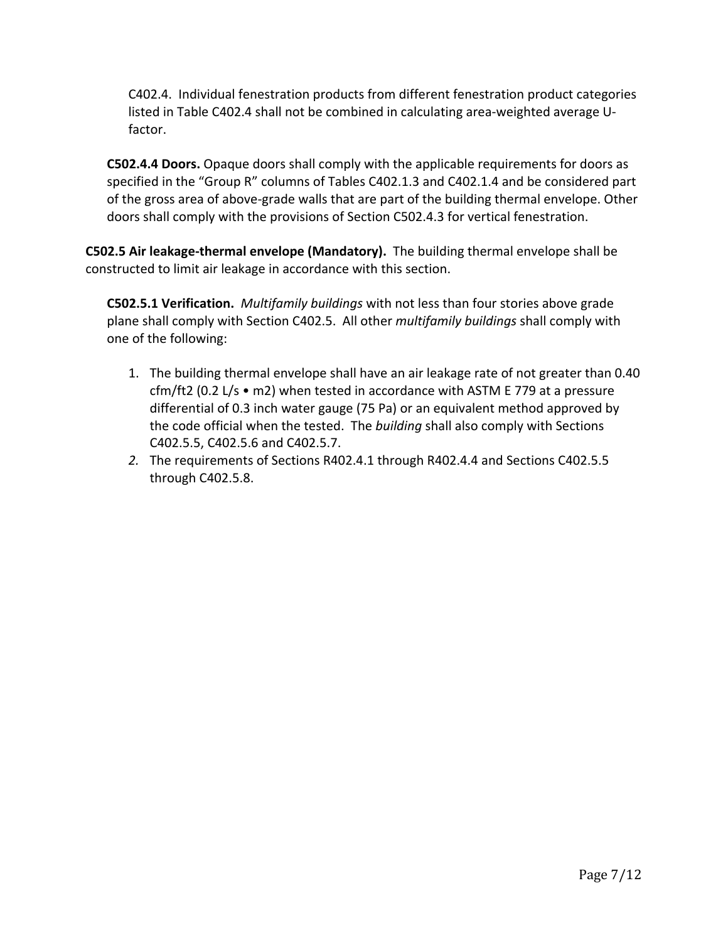C402.4. Individual fenestration products from different fenestration product categories listed in Table C402.4 shall not be combined in calculating area‐weighted average U‐ factor.

**C502.4.4 Doors.** Opaque doors shall comply with the applicable requirements for doors as specified in the "Group R" columns of Tables C402.1.3 and C402.1.4 and be considered part of the gross area of above-grade walls that are part of the building thermal envelope. Other doors shall comply with the provisions of Section C502.4.3 for vertical fenestration.

**C502.5 Air leakage‐thermal envelope (Mandatory).** The building thermal envelope shall be constructed to limit air leakage in accordance with this section.

**C502.5.1 Verification.** *Multifamily buildings* with not less than four stories above grade plane shall comply with Section C402.5.All other *multifamily buildings* shall comply with one of the following:

- 1. The building thermal envelope shall have an air leakage rate of not greater than 0.40 cfm/ft2 (0.2 L/s • m2) when tested in accordance with ASTM E 779 at a pressure differential of 0.3 inch water gauge (75 Pa) or an equivalent method approved by the code official when the tested. The *building* shall also comply with Sections C402.5.5, C402.5.6 and C402.5.7.
- *2.* The requirements of Sections R402.4.1 through R402.4.4 and Sections C402.5.5 through C402.5.8.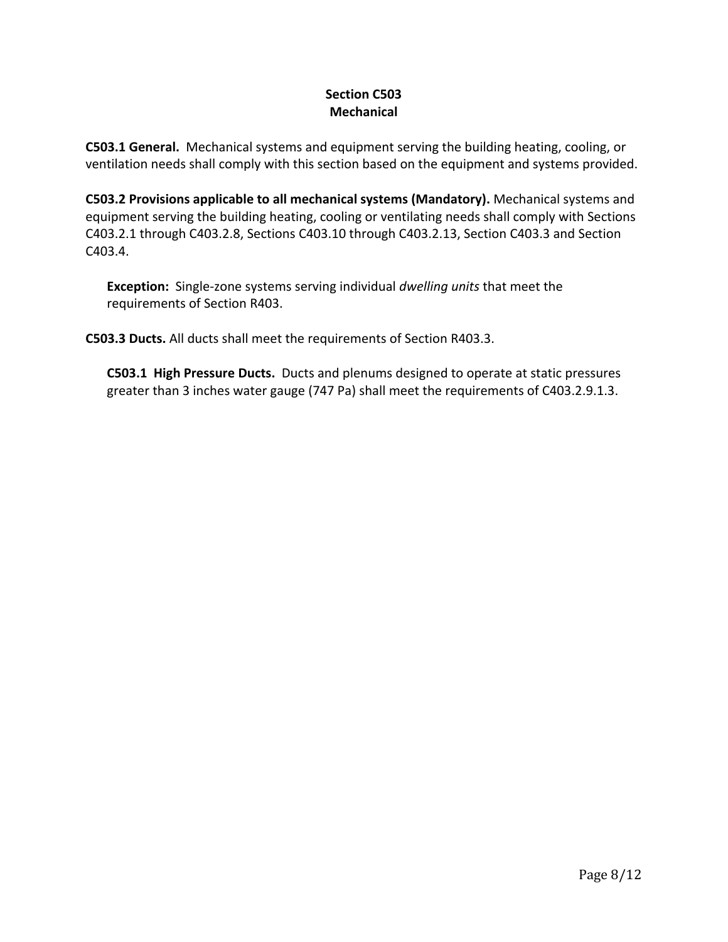### **Section C503 Mechanical**

**C503.1 General.** Mechanical systems and equipment serving the building heating, cooling, or ventilation needs shall comply with this section based on the equipment and systems provided.

**C503.2 Provisions applicable to all mechanical systems (Mandatory).** Mechanical systems and equipment serving the building heating, cooling or ventilating needs shall comply with Sections C403.2.1 through C403.2.8, Sections C403.10 through C403.2.13, Section C403.3 and Section C403.4.

**Exception:** Single‐zone systems serving individual *dwelling units* that meet the requirements of Section R403.

**C503.3 Ducts.** All ducts shall meet the requirements of Section R403.3.

**C503.1 High Pressure Ducts.** Ducts and plenums designed to operate at static pressures greater than 3 inches water gauge (747 Pa) shall meet the requirements of C403.2.9.1.3.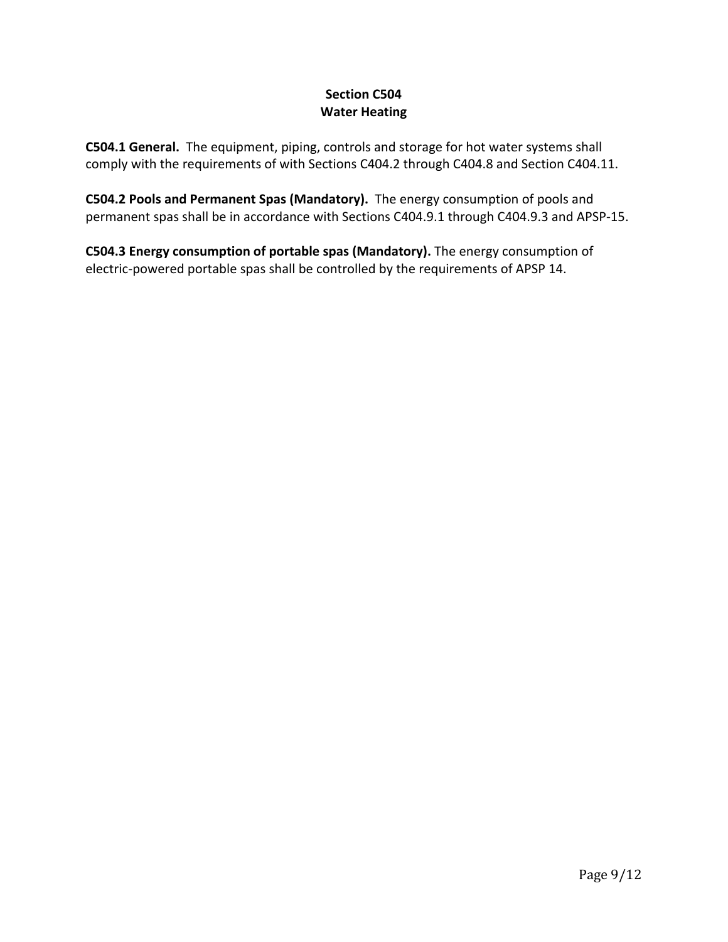# **Section C504 Water Heating**

**C504.1 General.** The equipment, piping, controls and storage for hot water systems shall comply with the requirements of with Sections C404.2 through C404.8 and Section C404.11.

**C504.2 Pools and Permanent Spas (Mandatory).** The energy consumption of pools and permanent spas shall be in accordance with Sections C404.9.1 through C404.9.3 and APSP‐15.

**C504.3 Energy consumption of portable spas (Mandatory).** The energy consumption of electric-powered portable spas shall be controlled by the requirements of APSP 14.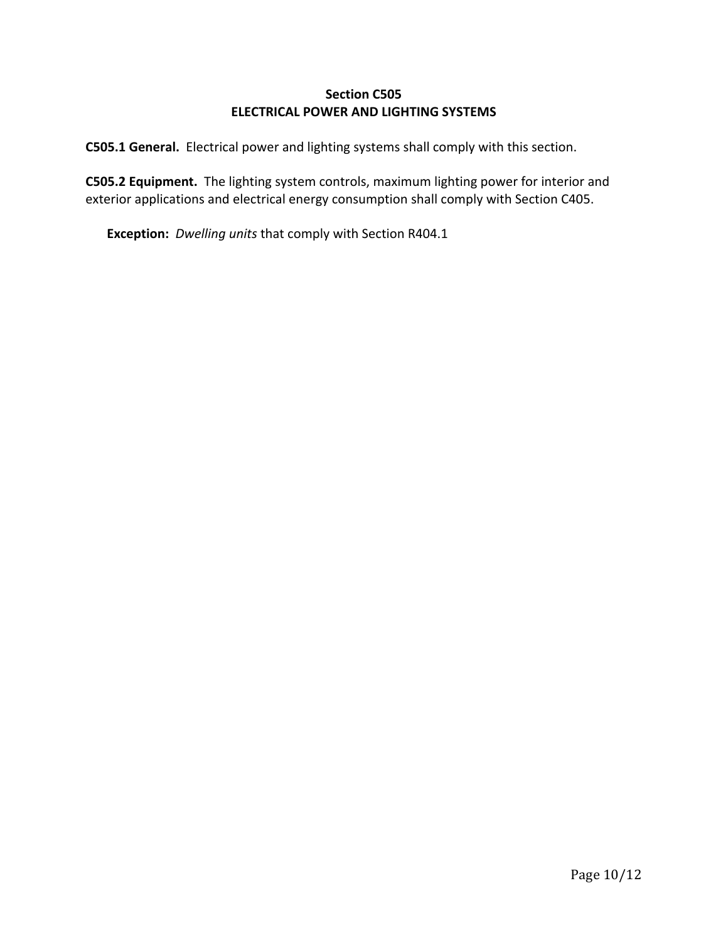### **Section C505 ELECTRICAL POWER AND LIGHTING SYSTEMS**

**C505.1 General.** Electrical power and lighting systems shall comply with this section.

**C505.2 Equipment.** The lighting system controls, maximum lighting power for interior and exterior applications and electrical energy consumption shall comply with Section C405.

**Exception:** *Dwelling units* that comply with Section R404.1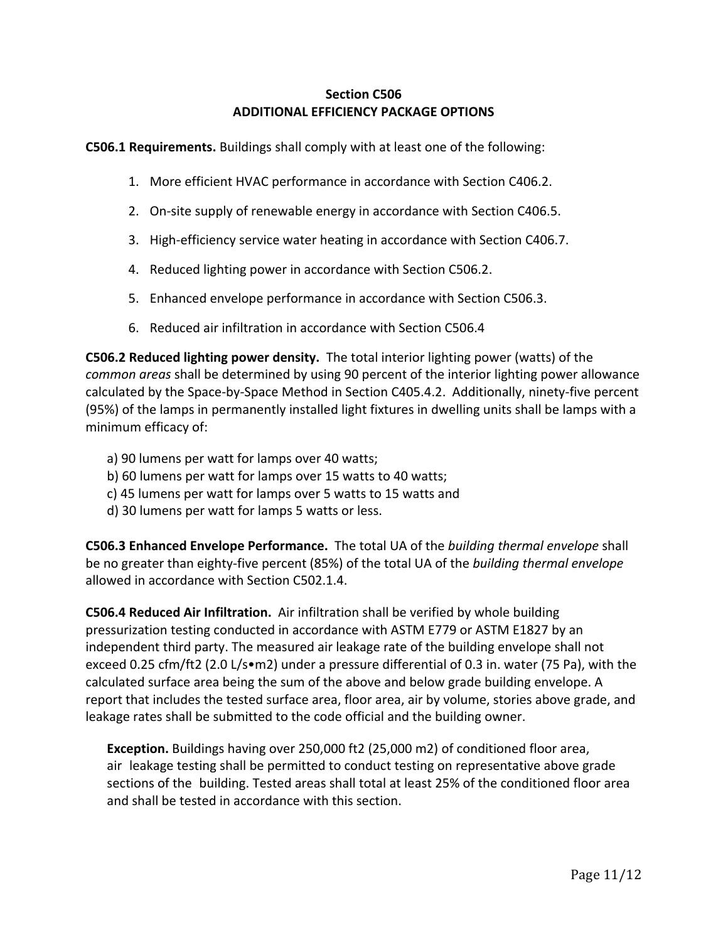### **Section C506 ADDITIONAL EFFICIENCY PACKAGE OPTIONS**

**C506.1 Requirements.** Buildings shall comply with at least one of the following:

- 1. More efficient HVAC performance in accordance with Section C406.2.
- 2. On-site supply of renewable energy in accordance with Section C406.5.
- 3. High-efficiency service water heating in accordance with Section C406.7.
- 4. Reduced lighting power in accordance with Section C506.2.
- 5. Enhanced envelope performance in accordance with Section C506.3.
- 6. Reduced air infiltration in accordance with Section C506.4

**C506.2 Reduced lighting power density.** The total interior lighting power (watts) of the *common areas* shall be determined by using 90 percent of the interior lighting power allowance calculated by the Space‐by‐Space Method in Section C405.4.2. Additionally, ninety‐five percent (95%) of the lamps in permanently installed light fixtures in dwelling units shall be lamps with a minimum efficacy of:

- a) 90 lumens per watt for lamps over 40 watts;
- b) 60 lumens per watt for lamps over 15 watts to 40 watts;
- c) 45 lumens per watt for lamps over 5 watts to 15 watts and
- d) 30 lumens per watt for lamps 5 watts or less.

**C506.3 Enhanced Envelope Performance.** The total UA of the *building thermal envelope* shall be no greater than eighty‐five percent (85%) of the total UA of the *building thermal envelope* allowed in accordance with Section C502.1.4.

**C506.4 Reduced Air Infiltration.** Air infiltration shall be verified by whole building pressurization testing conducted in accordance with ASTM E779 or ASTM E1827 by an independent third party. The measured air leakage rate of the building envelope shall not exceed 0.25 cfm/ft2 (2.0 L/s•m2) under a pressure differential of 0.3 in. water (75 Pa), with the calculated surface area being the sum of the above and below grade building envelope. A report that includes the tested surface area, floor area, air by volume, stories above grade, and leakage rates shall be submitted to the code official and the building owner.

**Exception.** Buildings having over 250,000 ft2 (25,000 m2) of conditioned floor area, air leakage testing shall be permitted to conduct testing on representative above grade sections of the building. Tested areas shall total at least 25% of the conditioned floor area and shall be tested in accordance with this section.